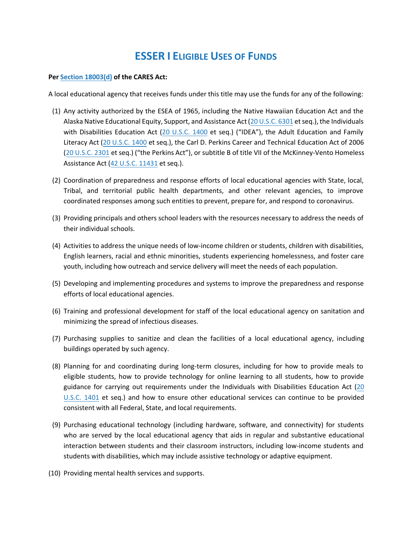## **ESSER I ELIGIBLE USES OF FUNDS**

## **Per [Section 18003\(d\)](https://www.congress.gov/bill/116th-congress/house-bill/748/text#:~:text=recent%20%0Afiscal%20year.-,(d)%20Uses%20of%20Funds.,-%2D%2DA%20local%20educational) of the CARES Act:**

A local educational agency that receives funds under this title may use the funds for any of the following:

- (1) Any activity authorized by the ESEA of 1965, including the Native Hawaiian Education Act and the Alaska Native Educational Equity, Support, and Assistance Act [\(20 U.S.C. 6301](http://uscode.house.gov/quicksearch/get.plx?title=20§ion=6301) et seq.), the Individuals with Disabilities Education Act [\(20 U.S.C. 1400](http://uscode.house.gov/quicksearch/get.plx?title=20§ion=1400) et seq.) ("IDEA"), the Adult Education and Family Literacy Act [\(20 U.S.C. 1400](http://uscode.house.gov/quicksearch/get.plx?title=20§ion=1400) et seq.), the Carl D. Perkins Career and Technical Education Act of 2006 [\(20 U.S.C. 2301](http://uscode.house.gov/quicksearch/get.plx?title=20§ion=2301) et seq.) ("the Perkins Act"), or subtitle B of title VII of the McKinney-Vento Homeless Assistance Act [\(42 U.S.C. 11431](http://uscode.house.gov/quicksearch/get.plx?title=42§ion=11431) et seq.).
- (2) Coordination of preparedness and response efforts of local educational agencies with State, local, Tribal, and territorial public health departments, and other relevant agencies, to improve coordinated responses among such entities to prevent, prepare for, and respond to coronavirus.
- (3) Providing principals and others school leaders with the resources necessary to address the needs of their individual schools.
- (4) Activities to address the unique needs of low-income children or students, children with disabilities, English learners, racial and ethnic minorities, students experiencing homelessness, and foster care youth, including how outreach and service delivery will meet the needs of each population.
- (5) Developing and implementing procedures and systems to improve the preparedness and response efforts of local educational agencies.
- (6) Training and professional development for staff of the local educational agency on sanitation and minimizing the spread of infectious diseases.
- (7) Purchasing supplies to sanitize and clean the facilities of a local educational agency, including buildings operated by such agency.
- (8) Planning for and coordinating during long-term closures, including for how to provide meals to eligible students, how to provide technology for online learning to all students, how to provide guidance for carrying out requirements under the Individuals with Disabilities Education Act [\(20](http://uscode.house.gov/quicksearch/get.plx?title=20§ion=1401) [U.S.C. 1401](http://uscode.house.gov/quicksearch/get.plx?title=20§ion=1401) et seq.) and how to ensure other educational services can continue to be provided consistent with all Federal, State, and local requirements.
- (9) Purchasing educational technology (including hardware, software, and connectivity) for students who are served by the local educational agency that aids in regular and substantive educational interaction between students and their classroom instructors, including low-income students and students with disabilities, which may include assistive technology or adaptive equipment.
- (10) Providing mental health services and supports.